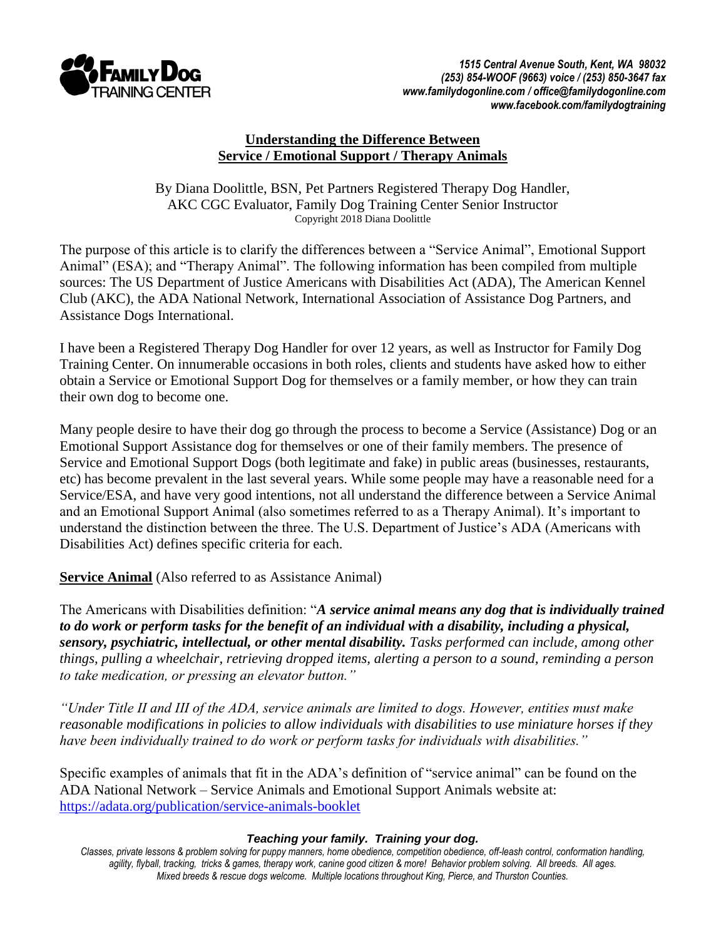

## **Understanding the Difference Between Service / Emotional Support / Therapy Animals**

By Diana Doolittle, BSN, Pet Partners Registered Therapy Dog Handler, AKC CGC Evaluator, Family Dog Training Center Senior Instructor Copyright 2018 Diana Doolittle

The purpose of this article is to clarify the differences between a "Service Animal", Emotional Support Animal" (ESA); and "Therapy Animal". The following information has been compiled from multiple sources: The US Department of Justice Americans with Disabilities Act (ADA), The American Kennel Club (AKC), the ADA National Network, International Association of Assistance Dog Partners, and Assistance Dogs International.

I have been a Registered Therapy Dog Handler for over 12 years, as well as Instructor for Family Dog Training Center. On innumerable occasions in both roles, clients and students have asked how to either obtain a Service or Emotional Support Dog for themselves or a family member, or how they can train their own dog to become one.

Many people desire to have their dog go through the process to become a Service (Assistance) Dog or an Emotional Support Assistance dog for themselves or one of their family members. The presence of Service and Emotional Support Dogs (both legitimate and fake) in public areas (businesses, restaurants, etc) has become prevalent in the last several years. While some people may have a reasonable need for a Service/ESA, and have very good intentions, not all understand the difference between a Service Animal and an Emotional Support Animal (also sometimes referred to as a Therapy Animal). It's important to understand the distinction between the three. The U.S. Department of Justice's ADA (Americans with Disabilities Act) defines specific criteria for each.

**Service Animal** (Also referred to as Assistance Animal)

The Americans with Disabilities definition: "*A service animal means any dog that is individually trained to do work or perform tasks for the benefit of an individual with a disability, including a physical, sensory, psychiatric, intellectual, or other mental disability. Tasks performed can include, among other things, pulling a wheelchair, retrieving dropped items, alerting a person to a sound, reminding a person to take medication, or pressing an elevator button."* 

*"Under Title II and III of the ADA, service animals are limited to dogs. However, entities must make reasonable modifications in policies to allow individuals with disabilities to use miniature horses if they have been individually trained to do work or perform tasks for individuals with disabilities."* 

Specific examples of animals that fit in the ADA's definition of "service animal" can be found on the ADA National Network – Service Animals and Emotional Support Animals website at: <https://adata.org/publication/service-animals-booklet>

#### *Teaching your family. Training your dog.*

*Classes, private lessons & problem solving for puppy manners, home obedience, competition obedience, off-leash control, conformation handling, agility, flyball, tracking, tricks & games, therapy work, canine good citizen & more! Behavior problem solving. All breeds. All ages. Mixed breeds & rescue dogs welcome. Multiple locations throughout King, Pierce, and Thurston Counties.*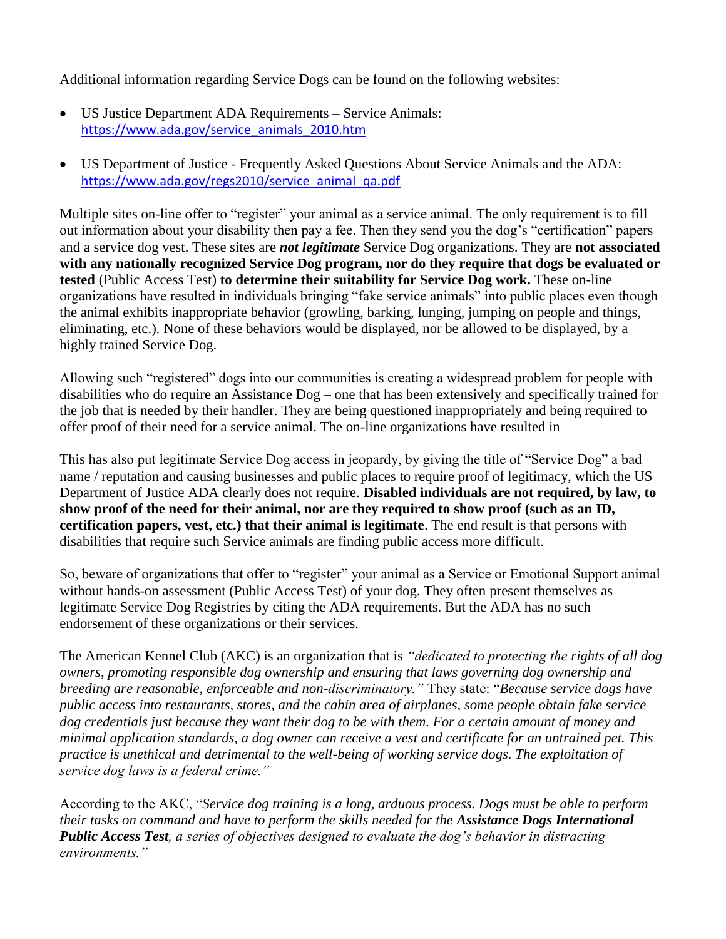Additional information regarding Service Dogs can be found on the following websites:

- US Justice Department ADA Requirements Service Animals: [https://www.ada.gov/service\\_animals\\_2010.htm](https://www.ada.gov/service_animals_2010.htm)
- US Department of Justice Frequently Asked Questions About Service Animals and the ADA: [https://www.ada.gov/regs2010/service\\_animal\\_qa.pdf](https://www.ada.gov/regs2010/service_animal_qa.pdf)

Multiple sites on-line offer to "register" your animal as a service animal. The only requirement is to fill out information about your disability then pay a fee. Then they send you the dog's "certification" papers and a service dog vest. These sites are *not legitimate* Service Dog organizations. They are **not associated with any nationally recognized Service Dog program, nor do they require that dogs be evaluated or tested** (Public Access Test) **to determine their suitability for Service Dog work.** These on-line organizations have resulted in individuals bringing "fake service animals" into public places even though the animal exhibits inappropriate behavior (growling, barking, lunging, jumping on people and things, eliminating, etc.). None of these behaviors would be displayed, nor be allowed to be displayed, by a highly trained Service Dog.

Allowing such "registered" dogs into our communities is creating a widespread problem for people with disabilities who do require an Assistance Dog – one that has been extensively and specifically trained for the job that is needed by their handler. They are being questioned inappropriately and being required to offer proof of their need for a service animal. The on-line organizations have resulted in

This has also put legitimate Service Dog access in jeopardy, by giving the title of "Service Dog" a bad name / reputation and causing businesses and public places to require proof of legitimacy, which the US Department of Justice ADA clearly does not require. **Disabled individuals are not required, by law, to show proof of the need for their animal, nor are they required to show proof (such as an ID, certification papers, vest, etc.) that their animal is legitimate**. The end result is that persons with disabilities that require such Service animals are finding public access more difficult.

So, beware of organizations that offer to "register" your animal as a Service or Emotional Support animal without hands-on assessment (Public Access Test) of your dog. They often present themselves as legitimate Service Dog Registries by citing the ADA requirements. But the ADA has no such endorsement of these organizations or their services.

The American Kennel Club (AKC) is an organization that is *"dedicated to protecting the rights of all dog owners, promoting responsible dog ownership and ensuring that laws governing dog ownership and breeding are reasonable, enforceable and non-discriminatory."* They state: "*Because service dogs have public access into restaurants, stores, and the cabin area of airplanes, some people obtain fake service dog credentials just because they want their dog to be with them. For a certain amount of money and minimal application standards, a dog owner can receive a vest and certificate for an untrained pet. This practice is unethical and detrimental to the well-being of working service dogs. The exploitation of service dog laws is a federal crime."*

According to the AKC, "*Service dog training is a long, arduous process. Dogs must be able to perform their tasks on command and have to perform the skills needed for the Assistance Dogs International Public Access Test, a series of objectives designed to evaluate the dog's behavior in distracting environments."*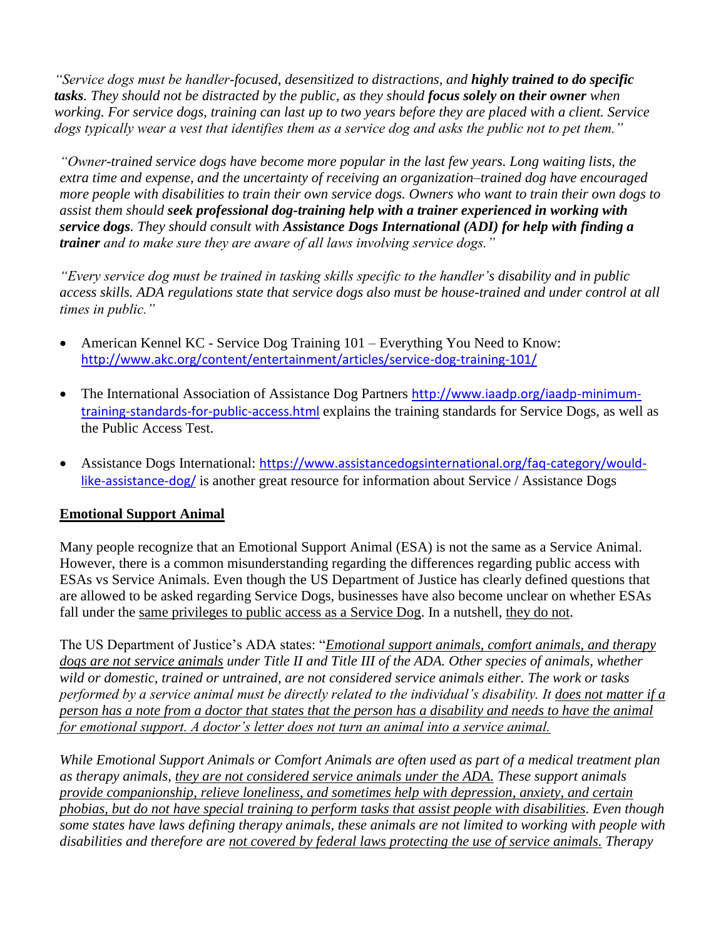*"Service dogs must be handler-focused, desensitized to distractions, and highly trained to do specific tasks. They should not be distracted by the public, as they should focus solely on their owner when working. For service dogs, training can last up to two years before they are placed with a client. Service dogs typically wear a vest that identifies them as a service dog and asks the public not to pet them."*

*"Owner-trained service dogs have become more popular in the last few years. Long waiting lists, the extra time and expense, and the uncertainty of receiving an organization–trained dog have encouraged more people with disabilities to train their own service dogs. Owners who want to train their own dogs to assist them should seek professional dog-training help with a trainer experienced in working with service dogs. They should consult with Assistance Dogs International (ADI) for help with finding a trainer and to make sure they are aware of all laws involving service dogs."*

*"Every service dog must be trained in tasking skills specific to the handler's disability and in public access skills. ADA regulations state that service dogs also must be house-trained and under control at all times in public."*

- American Kennel KC Service Dog Training 101 Everything You Need to Know: <http://www.akc.org/content/entertainment/articles/service-dog-training-101/>
- The International Association of Assistance Dog Partners [http://www.iaadp.org/iaadp-minimum](http://www.iaadp.org/iaadp-minimum-training-standards-for-public-access.html)[training-standards-for-public-access.html](http://www.iaadp.org/iaadp-minimum-training-standards-for-public-access.html) explains the training standards for Service Dogs, as well as the Public Access Test.
- Assistance Dogs International: [https://www.assistancedogsinternational.org/faq-category/would](https://www.assistancedogsinternational.org/faq-category/would-like-assistance-dog/)[like-assistance-dog/](https://www.assistancedogsinternational.org/faq-category/would-like-assistance-dog/) is another great resource for information about Service / Assistance Dogs

## **Emotional Support Animal**

Many people recognize that an Emotional Support Animal (ESA) is not the same as a Service Animal. However, there is a common misunderstanding regarding the differences regarding public access with ESAs vs Service Animals. Even though the US Department of Justice has clearly defined questions that are allowed to be asked regarding Service Dogs, businesses have also become unclear on whether ESAs fall under the same privileges to public access as a Service Dog. In a nutshell, they do not.

The US Department of Justice's ADA states: "*Emotional support animals, comfort animals, and therapy dogs are not service animals under Title II and Title III of the ADA. Other species of animals, whether wild or domestic, trained or untrained, are not considered service animals either. The work or tasks performed by a service animal must be directly related to the individual's disability. It does not matter if a person has a note from a doctor that states that the person has a disability and needs to have the animal for emotional support. A doctor's letter does not turn an animal into a service animal.*

*While Emotional Support Animals or Comfort Animals are often used as part of a medical treatment plan as therapy animals, they are not considered service animals under the ADA. These support animals provide companionship, relieve loneliness, and sometimes help with depression, anxiety, and certain phobias, but do not have special training to perform tasks that assist people with disabilities. Even though some states have laws defining therapy animals, these animals are not limited to working with people with disabilities and therefore are not covered by federal laws protecting the use of service animals. Therapy*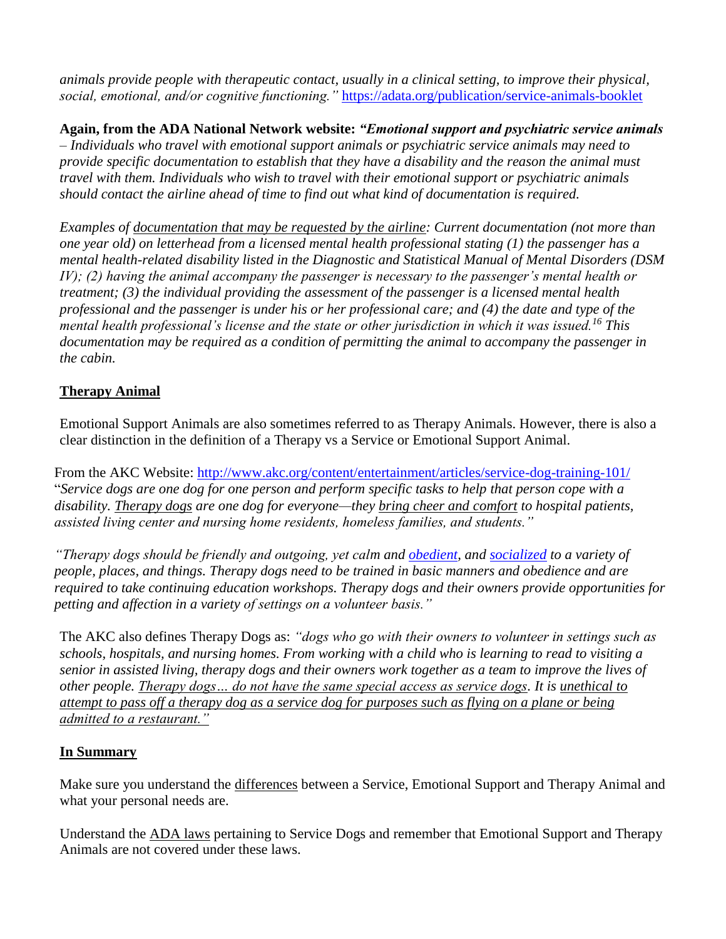*animals provide people with therapeutic contact, usually in a clinical setting, to improve their physical, social, emotional, and/or cognitive functioning."* <https://adata.org/publication/service-animals-booklet>

**Again, from the ADA National Network website:** *"Emotional support and psychiatric service animals – Individuals who travel with emotional support animals or psychiatric service animals may need to provide specific documentation to establish that they have a disability and the reason the animal must travel with them. Individuals who wish to travel with their emotional support or psychiatric animals should contact the airline ahead of time to find out what kind of documentation is required.*

*Examples of documentation that may be requested by the airline: Current documentation (not more than one year old) on letterhead from a licensed mental health professional stating (1) the passenger has a mental health-related disability listed in the Diagnostic and Statistical Manual of Mental Disorders (DSM IV); (2) having the animal accompany the passenger is necessary to the passenger's mental health or treatment; (3) the individual providing the assessment of the passenger is a licensed mental health professional and the passenger is under his or her professional care; and (4) the date and type of the mental health professional's license and the state or other jurisdiction in which it was issued.<sup>16</sup> This documentation may be required as a condition of permitting the animal to accompany the passenger in the cabin.*

# **Therapy Animal**

Emotional Support Animals are also sometimes referred to as Therapy Animals. However, there is also a clear distinction in the definition of a Therapy vs a Service or Emotional Support Animal.

From the AKC Website:<http://www.akc.org/content/entertainment/articles/service-dog-training-101/> "*Service dogs are one dog for one person and perform specific tasks to help that person cope with a disability. Therapy dogs are one dog for everyone—they bring cheer and comfort to hospital patients, assisted living center and nursing home residents, homeless families, and students."*

*"Therapy dogs should be friendly and outgoing, yet calm and [obedient,](http://www.akc.org/events/obedience/getting-started/) and [socialized](http://www.akc.org/content/dog-training/articles/puppy-socialization/) to a variety of people, places, and things. Therapy dogs need to be trained in basic manners and obedience and are required to take continuing education workshops. Therapy dogs and their owners provide opportunities for petting and affection in a variety of settings on a volunteer basis."* 

The AKC also defines Therapy Dogs as: *"dogs who go with their owners to volunteer in settings such as schools, hospitals, and nursing homes. From working with a child who is learning to read to visiting a senior in assisted living, therapy dogs and their owners work together as a team to improve the lives of other people. Therapy dogs… do not have the same special access as service dogs. It is unethical to attempt to pass off a therapy dog as a service dog for purposes such as flying on a plane or being admitted to a restaurant."*

## **In Summary**

Make sure you understand the differences between a Service, Emotional Support and Therapy Animal and what your personal needs are.

Understand the ADA laws pertaining to Service Dogs and remember that Emotional Support and Therapy Animals are not covered under these laws.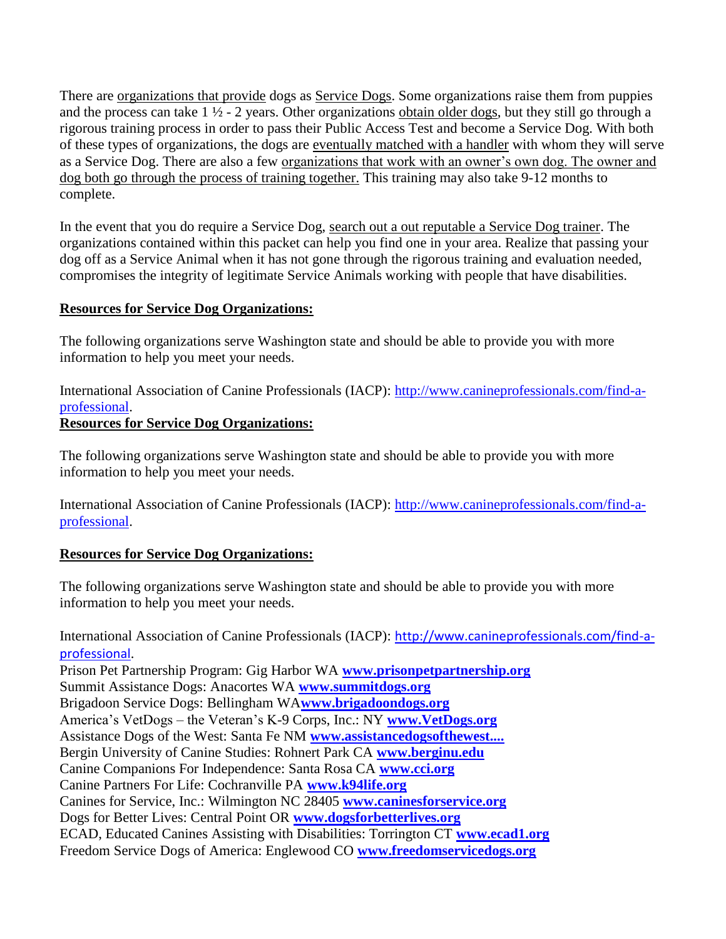There are organizations that provide dogs as Service Dogs. Some organizations raise them from puppies and the process can take  $1 \frac{1}{2}$  - 2 years. Other organizations obtain older dogs, but they still go through a rigorous training process in order to pass their Public Access Test and become a Service Dog. With both of these types of organizations, the dogs are eventually matched with a handler with whom they will serve as a Service Dog. There are also a few organizations that work with an owner's own dog. The owner and dog both go through the process of training together. This training may also take 9-12 months to complete.

In the event that you do require a Service Dog, search out a out reputable a Service Dog trainer. The organizations contained within this packet can help you find one in your area. Realize that passing your dog off as a Service Animal when it has not gone through the rigorous training and evaluation needed, compromises the integrity of legitimate Service Animals working with people that have disabilities.

#### **Resources for Service Dog Organizations:**

The following organizations serve Washington state and should be able to provide you with more information to help you meet your needs.

International Association of Canine Professionals (IACP): [http://www.canineprofessionals.com/find-a](http://www.canineprofessionals.com/find-a-professional)[professional.](http://www.canineprofessionals.com/find-a-professional)

## **Resources for Service Dog Organizations:**

The following organizations serve Washington state and should be able to provide you with more information to help you meet your needs.

International Association of Canine Professionals (IACP): [http://www.canineprofessionals.com/find-a](http://www.canineprofessionals.com/find-a-professional)[professional.](http://www.canineprofessionals.com/find-a-professional)

## **Resources for Service Dog Organizations:**

The following organizations serve Washington state and should be able to provide you with more information to help you meet your needs.

International Association of Canine Professionals (IACP): [http://www.canineprofessionals.com/find-a](http://www.canineprofessionals.com/find-a-professional)[professional](http://www.canineprofessionals.com/find-a-professional).

Prison Pet Partnership Program: Gig Harbor WA **[www.prisonpetpartnership.org](http://www.prisonpetpartnership.org/)** Summit Assistance Dogs: Anacortes WA **[www.summitdogs.org](http://www.summitdogs.org/)** Brigadoon Service Dogs: Bellingham WA**[www.brigadoondogs.org](http://www.brigadoondogs.org/)** America's VetDogs – the Veteran's K-9 Corps, Inc.: NY **[www.VetDogs.org](http://www.vetdogs.org/)** Assistance Dogs of the West: Santa Fe NM **[www.assistancedogsofthewest....](http://www.assistancedogsofthewest.org/)** Bergin University of Canine Studies: Rohnert Park CA **[www.berginu.edu](http://www.berginu.edu/)** Canine Companions For Independence: Santa Rosa CA **[www.cci.org](http://www.cci.org/)** Canine Partners For Life: Cochranville PA **[www.k94life.org](http://www.k94life.org/)** Canines for Service, Inc.: Wilmington NC 28405 **[www.caninesforservice.org](http://www.caninesforservice.org/)** Dogs for Better Lives: Central Point OR **[www.dogsforbetterlives.org](http://www.dogsforbetterlives.org/)** ECAD, Educated Canines Assisting with Disabilities: Torrington CT **[www.ecad1.org](http://www.ecad1.org/)** Freedom Service Dogs of America: Englewood CO **[www.freedomservicedogs.org](http://www.freedomservicedogs.org/)**